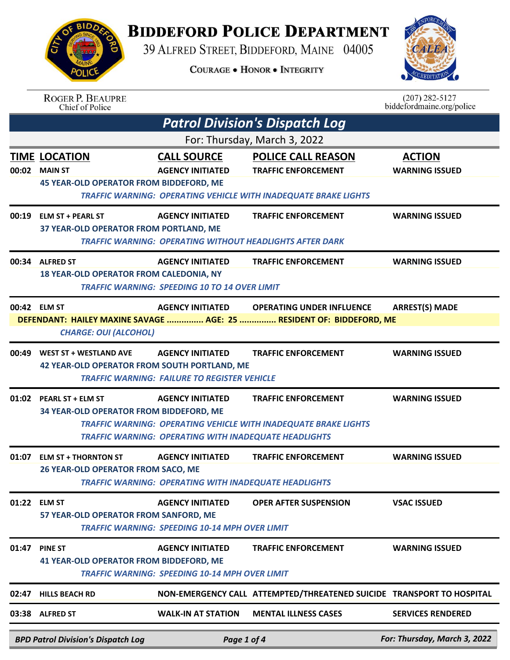## **BIDDEFORD POLICE DEPARTMENT**



|       | <b>BPD Patrol Division's Dispatch Log</b>                                                | Page 1 of 4                                                                             |                                                                                                                                   | For: Thursday, March 3, 2022                    |  |
|-------|------------------------------------------------------------------------------------------|-----------------------------------------------------------------------------------------|-----------------------------------------------------------------------------------------------------------------------------------|-------------------------------------------------|--|
|       | 03:38 ALFRED ST                                                                          | <b>WALK-IN AT STATION</b>                                                               | <b>MENTAL ILLNESS CASES</b>                                                                                                       | <b>SERVICES RENDERED</b>                        |  |
| 02:47 | <b>HILLS BEACH RD</b>                                                                    |                                                                                         | NON-EMERGENCY CALL ATTEMPTED/THREATENED SUICIDE TRANSPORT TO HOSPITAL                                                             |                                                 |  |
| 01:47 | <b>PINE ST</b><br><b>41 YEAR-OLD OPERATOR FROM BIDDEFORD, ME</b>                         | <b>AGENCY INITIATED</b><br><b>TRAFFIC WARNING: SPEEDING 10-14 MPH OVER LIMIT</b>        | <b>TRAFFIC ENFORCEMENT</b>                                                                                                        | <b>WARNING ISSUED</b>                           |  |
|       | 01:22 ELM ST<br>57 YEAR-OLD OPERATOR FROM SANFORD, ME                                    | <b>AGENCY INITIATED</b><br><b>TRAFFIC WARNING: SPEEDING 10-14 MPH OVER LIMIT</b>        | <b>OPER AFTER SUSPENSION</b>                                                                                                      | <b>VSAC ISSUED</b>                              |  |
|       | 01:07 ELM ST + THORNTON ST<br>26 YEAR-OLD OPERATOR FROM SACO, ME                         | <b>AGENCY INITIATED</b><br><b>TRAFFIC WARNING: OPERATING WITH INADEQUATE HEADLIGHTS</b> | <b>TRAFFIC ENFORCEMENT</b>                                                                                                        | <b>WARNING ISSUED</b>                           |  |
| 01:02 | <b>PEARL ST + ELM ST</b><br>34 YEAR-OLD OPERATOR FROM BIDDEFORD, ME                      | <b>AGENCY INITIATED</b><br><b>TRAFFIC WARNING: OPERATING WITH INADEQUATE HEADLIGHTS</b> | <b>TRAFFIC ENFORCEMENT</b><br><b>TRAFFIC WARNING: OPERATING VEHICLE WITH INADEQUATE BRAKE LIGHTS</b>                              | <b>WARNING ISSUED</b>                           |  |
| 00:49 | <b>WEST ST + WESTLAND AVE</b><br><b>42 YEAR-OLD OPERATOR FROM SOUTH PORTLAND, ME</b>     | <b>AGENCY INITIATED</b><br><b>TRAFFIC WARNING: FAILURE TO REGISTER VEHICLE</b>          | <b>TRAFFIC ENFORCEMENT</b>                                                                                                        | <b>WARNING ISSUED</b>                           |  |
|       | 00:42 ELM ST<br><b>CHARGE: OUI (ALCOHOL)</b>                                             | <b>AGENCY INITIATED</b>                                                                 | <b>OPERATING UNDER INFLUENCE</b><br>DEFENDANT: HAILEY MAXINE SAVAGE  AGE: 25  RESIDENT OF: BIDDEFORD, ME                          | <b>ARREST(S) MADE</b>                           |  |
|       | 00:34 ALFRED ST<br><b>18 YEAR-OLD OPERATOR FROM CALEDONIA, NY</b>                        | <b>AGENCY INITIATED</b><br><b>TRAFFIC WARNING: SPEEDING 10 TO 14 OVER LIMIT</b>         | <b>TRAFFIC ENFORCEMENT</b>                                                                                                        | <b>WARNING ISSUED</b>                           |  |
| 00:19 | <b>ELM ST + PEARL ST</b><br>37 YEAR-OLD OPERATOR FROM PORTLAND, ME                       | <b>AGENCY INITIATED</b>                                                                 | <b>TRAFFIC ENFORCEMENT</b><br><b>TRAFFIC WARNING: OPERATING WITHOUT HEADLIGHTS AFTER DARK</b>                                     | <b>WARNING ISSUED</b>                           |  |
| 00:02 | <b>TIME LOCATION</b><br><b>MAIN ST</b><br><b>45 YEAR-OLD OPERATOR FROM BIDDEFORD, ME</b> | <b>CALL SOURCE</b><br><b>AGENCY INITIATED</b>                                           | <b>POLICE CALL REASON</b><br><b>TRAFFIC ENFORCEMENT</b><br><b>TRAFFIC WARNING: OPERATING VEHICLE WITH INADEQUATE BRAKE LIGHTS</b> | <b>ACTION</b><br><b>WARNING ISSUED</b>          |  |
|       |                                                                                          |                                                                                         | <b>Patrol Division's Dispatch Log</b><br>For: Thursday, March 3, 2022                                                             |                                                 |  |
|       | <b>ROGER P. BEAUPRE</b><br><b>Chief of Police</b>                                        |                                                                                         |                                                                                                                                   | $(207) 282 - 5127$<br>biddefordmaine.org/police |  |
|       |                                                                                          |                                                                                         | <b>COURAGE . HONOR . INTEGRITY</b>                                                                                                | UREDITATV:                                      |  |
|       | 39 ALFRED STREET, BIDDEFORD, MAINE 04005<br><b>CALEA</b>                                 |                                                                                         |                                                                                                                                   |                                                 |  |

Page 1 of 4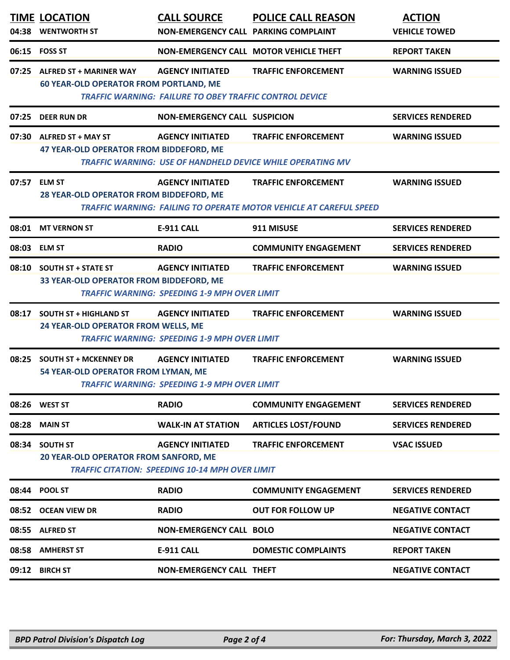| 04:38 | <b>TIME LOCATION</b><br><b>WENTWORTH ST</b>                                     | <b>CALL SOURCE</b><br>NON-EMERGENCY CALL PARKING COMPLAINT                                | <b>POLICE CALL REASON</b>                                                                               | <b>ACTION</b><br><b>VEHICLE TOWED</b> |
|-------|---------------------------------------------------------------------------------|-------------------------------------------------------------------------------------------|---------------------------------------------------------------------------------------------------------|---------------------------------------|
| 06:15 | <b>FOSS ST</b>                                                                  |                                                                                           | NON-EMERGENCY CALL MOTOR VEHICLE THEFT                                                                  | <b>REPORT TAKEN</b>                   |
| 07:25 | <b>ALFRED ST + MARINER WAY</b><br><b>60 YEAR-OLD OPERATOR FROM PORTLAND, ME</b> | <b>AGENCY INITIATED</b><br><b>TRAFFIC WARNING: FAILURE TO OBEY TRAFFIC CONTROL DEVICE</b> | <b>TRAFFIC ENFORCEMENT</b>                                                                              | <b>WARNING ISSUED</b>                 |
| 07:25 | <b>DEER RUN DR</b>                                                              | <b>NON-EMERGENCY CALL SUSPICION</b>                                                       |                                                                                                         | <b>SERVICES RENDERED</b>              |
| 07:30 | <b>ALFRED ST + MAY ST</b><br>47 YEAR-OLD OPERATOR FROM BIDDEFORD, ME            | <b>AGENCY INITIATED</b>                                                                   | <b>TRAFFIC ENFORCEMENT</b><br><b>TRAFFIC WARNING: USE OF HANDHELD DEVICE WHILE OPERATING MV</b>         | <b>WARNING ISSUED</b>                 |
| 07:57 | <b>ELM ST</b><br>28 YEAR-OLD OPERATOR FROM BIDDEFORD, ME                        | <b>AGENCY INITIATED</b>                                                                   | <b>TRAFFIC ENFORCEMENT</b><br><b>TRAFFIC WARNING: FAILING TO OPERATE MOTOR VEHICLE AT CAREFUL SPEED</b> | <b>WARNING ISSUED</b>                 |
| 08:01 | <b>MT VERNON ST</b>                                                             | E-911 CALL                                                                                | 911 MISUSE                                                                                              | <b>SERVICES RENDERED</b>              |
| 08:03 | <b>ELM ST</b>                                                                   | <b>RADIO</b>                                                                              | <b>COMMUNITY ENGAGEMENT</b>                                                                             | <b>SERVICES RENDERED</b>              |
| 08:10 | <b>SOUTH ST + STATE ST</b><br>33 YEAR-OLD OPERATOR FROM BIDDEFORD, ME           | <b>AGENCY INITIATED</b><br><b>TRAFFIC WARNING: SPEEDING 1-9 MPH OVER LIMIT</b>            | <b>TRAFFIC ENFORCEMENT</b>                                                                              | <b>WARNING ISSUED</b>                 |
| 08:17 | <b>SOUTH ST + HIGHLAND ST</b><br>24 YEAR-OLD OPERATOR FROM WELLS, ME            | <b>AGENCY INITIATED</b><br><b>TRAFFIC WARNING: SPEEDING 1-9 MPH OVER LIMIT</b>            | <b>TRAFFIC ENFORCEMENT</b>                                                                              | <b>WARNING ISSUED</b>                 |
| 08:25 | <b>SOUTH ST + MCKENNEY DR</b><br>54 YEAR-OLD OPERATOR FROM LYMAN, ME            | <b>AGENCY INITIATED</b><br><b>TRAFFIC WARNING: SPEEDING 1-9 MPH OVER LIMIT</b>            | <b>TRAFFIC ENFORCEMENT</b>                                                                              | <b>WARNING ISSUED</b>                 |
| 08:26 | <b>WEST ST</b>                                                                  | <b>RADIO</b>                                                                              | <b>COMMUNITY ENGAGEMENT</b>                                                                             | <b>SERVICES RENDERED</b>              |
| 08:28 | <b>MAIN ST</b>                                                                  | <b>WALK-IN AT STATION</b>                                                                 | <b>ARTICLES LOST/FOUND</b>                                                                              | <b>SERVICES RENDERED</b>              |
| 08:34 | <b>SOUTH ST</b><br>20 YEAR-OLD OPERATOR FROM SANFORD, ME                        | <b>AGENCY INITIATED</b><br><b>TRAFFIC CITATION: SPEEDING 10-14 MPH OVER LIMIT</b>         | <b>TRAFFIC ENFORCEMENT</b>                                                                              | <b>VSAC ISSUED</b>                    |
| 08:44 | <b>POOL ST</b>                                                                  | <b>RADIO</b>                                                                              | <b>COMMUNITY ENGAGEMENT</b>                                                                             | <b>SERVICES RENDERED</b>              |
| 08:52 | <b>OCEAN VIEW DR</b>                                                            | <b>RADIO</b>                                                                              | <b>OUT FOR FOLLOW UP</b>                                                                                | <b>NEGATIVE CONTACT</b>               |
| 08:55 | <b>ALFRED ST</b>                                                                | <b>NON-EMERGENCY CALL BOLO</b>                                                            |                                                                                                         | <b>NEGATIVE CONTACT</b>               |
| 08:58 | <b>AMHERST ST</b>                                                               | <b>E-911 CALL</b>                                                                         | <b>DOMESTIC COMPLAINTS</b>                                                                              | <b>REPORT TAKEN</b>                   |
| 09:12 | <b>BIRCH ST</b>                                                                 | <b>NON-EMERGENCY CALL THEFT</b>                                                           |                                                                                                         | <b>NEGATIVE CONTACT</b>               |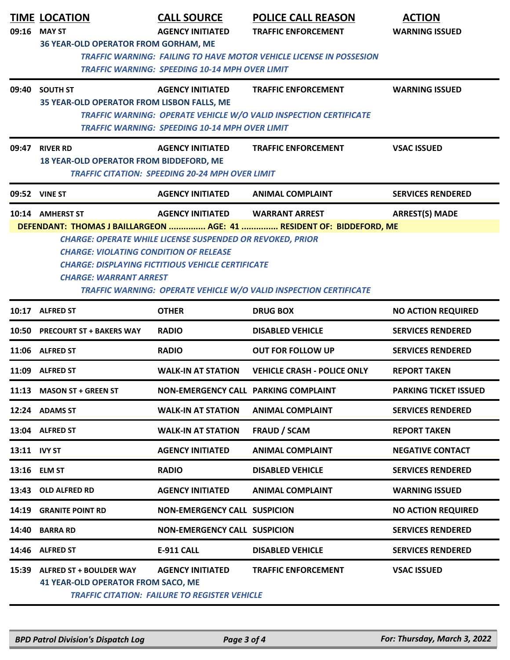|              | <b>TIME LOCATION</b>                                                                                                                | <b>CALL SOURCE</b>                                               | <b>POLICE CALL REASON</b>                                            | <b>ACTION</b>                |  |  |
|--------------|-------------------------------------------------------------------------------------------------------------------------------------|------------------------------------------------------------------|----------------------------------------------------------------------|------------------------------|--|--|
|              | 09:16 MAY ST                                                                                                                        | <b>AGENCY INITIATED</b>                                          | <b>TRAFFIC ENFORCEMENT</b>                                           | <b>WARNING ISSUED</b>        |  |  |
|              | 36 YEAR-OLD OPERATOR FROM GORHAM, ME                                                                                                |                                                                  |                                                                      |                              |  |  |
|              | <b>TRAFFIC WARNING: FAILING TO HAVE MOTOR VEHICLE LICENSE IN POSSESION</b><br><b>TRAFFIC WARNING: SPEEDING 10-14 MPH OVER LIMIT</b> |                                                                  |                                                                      |                              |  |  |
|              |                                                                                                                                     |                                                                  |                                                                      |                              |  |  |
| 09:40        | <b>SOUTH ST</b>                                                                                                                     | <b>AGENCY INITIATED</b>                                          | <b>TRAFFIC ENFORCEMENT</b>                                           | <b>WARNING ISSUED</b>        |  |  |
|              | 35 YEAR-OLD OPERATOR FROM LISBON FALLS, ME                                                                                          |                                                                  | TRAFFIC WARNING: OPERATE VEHICLE W/O VALID INSPECTION CERTIFICATE    |                              |  |  |
|              |                                                                                                                                     | <b>TRAFFIC WARNING: SPEEDING 10-14 MPH OVER LIMIT</b>            |                                                                      |                              |  |  |
|              |                                                                                                                                     |                                                                  |                                                                      |                              |  |  |
| 09:47        | <b>RIVER RD</b><br><b>18 YEAR-OLD OPERATOR FROM BIDDEFORD, ME</b>                                                                   | <b>AGENCY INITIATED</b>                                          | <b>TRAFFIC ENFORCEMENT</b>                                           | <b>VSAC ISSUED</b>           |  |  |
|              |                                                                                                                                     | <b>TRAFFIC CITATION: SPEEDING 20-24 MPH OVER LIMIT</b>           |                                                                      |                              |  |  |
|              | 09:52 VINE ST                                                                                                                       | <b>AGENCY INITIATED</b>                                          | <b>ANIMAL COMPLAINT</b>                                              | <b>SERVICES RENDERED</b>     |  |  |
|              | 10:14 AMHERST ST                                                                                                                    | <b>AGENCY INITIATED</b>                                          | <b>WARRANT ARREST</b>                                                | <b>ARREST(S) MADE</b>        |  |  |
|              |                                                                                                                                     |                                                                  | DEFENDANT: THOMAS J BAILLARGEON  AGE: 41  RESIDENT OF: BIDDEFORD, ME |                              |  |  |
|              | <b>CHARGE: VIOLATING CONDITION OF RELEASE</b>                                                                                       | <b>CHARGE: OPERATE WHILE LICENSE SUSPENDED OR REVOKED, PRIOR</b> |                                                                      |                              |  |  |
|              |                                                                                                                                     | <b>CHARGE: DISPLAYING FICTITIOUS VEHICLE CERTIFICATE</b>         |                                                                      |                              |  |  |
|              | <b>CHARGE: WARRANT ARREST</b>                                                                                                       |                                                                  |                                                                      |                              |  |  |
|              |                                                                                                                                     |                                                                  | TRAFFIC WARNING: OPERATE VEHICLE W/O VALID INSPECTION CERTIFICATE    |                              |  |  |
|              | 10:17 ALFRED ST                                                                                                                     | <b>OTHER</b>                                                     | <b>DRUG BOX</b>                                                      | <b>NO ACTION REQUIRED</b>    |  |  |
| 10:50        | <b>PRECOURT ST + BAKERS WAY</b>                                                                                                     | <b>RADIO</b>                                                     | <b>DISABLED VEHICLE</b>                                              | <b>SERVICES RENDERED</b>     |  |  |
|              | 11:06 ALFRED ST                                                                                                                     | <b>RADIO</b>                                                     | <b>OUT FOR FOLLOW UP</b>                                             | <b>SERVICES RENDERED</b>     |  |  |
| 11:09        | <b>ALFRED ST</b>                                                                                                                    | <b>WALK-IN AT STATION</b>                                        | <b>VEHICLE CRASH - POLICE ONLY</b>                                   | <b>REPORT TAKEN</b>          |  |  |
|              | 11:13 MASON ST + GREEN ST                                                                                                           | NON-EMERGENCY CALL PARKING COMPLAINT                             |                                                                      | <b>PARKING TICKET ISSUED</b> |  |  |
|              | 12:24 ADAMS ST                                                                                                                      | <b>WALK-IN AT STATION</b>                                        | <b>ANIMAL COMPLAINT</b>                                              | <b>SERVICES RENDERED</b>     |  |  |
|              | 13:04 ALFRED ST                                                                                                                     | <b>WALK-IN AT STATION</b>                                        | <b>FRAUD / SCAM</b>                                                  | <b>REPORT TAKEN</b>          |  |  |
| 13:11 IVY ST |                                                                                                                                     | <b>AGENCY INITIATED</b>                                          | <b>ANIMAL COMPLAINT</b>                                              | <b>NEGATIVE CONTACT</b>      |  |  |
|              | 13:16 ELM ST                                                                                                                        | <b>RADIO</b>                                                     | <b>DISABLED VEHICLE</b>                                              | <b>SERVICES RENDERED</b>     |  |  |
| 13:43        | <b>OLD ALFRED RD</b>                                                                                                                | <b>AGENCY INITIATED</b>                                          | <b>ANIMAL COMPLAINT</b>                                              | <b>WARNING ISSUED</b>        |  |  |
| 14:19        | <b>GRANITE POINT RD</b>                                                                                                             | <b>NON-EMERGENCY CALL SUSPICION</b>                              |                                                                      | <b>NO ACTION REQUIRED</b>    |  |  |
| 14:40        | <b>BARRA RD</b>                                                                                                                     | <b>NON-EMERGENCY CALL SUSPICION</b>                              |                                                                      | <b>SERVICES RENDERED</b>     |  |  |
| 14:46        | <b>ALFRED ST</b>                                                                                                                    | <b>E-911 CALL</b>                                                | <b>DISABLED VEHICLE</b>                                              | <b>SERVICES RENDERED</b>     |  |  |
| 15:39        | ALFRED ST + BOULDER WAY                                                                                                             | <b>AGENCY INITIATED</b>                                          | <b>TRAFFIC ENFORCEMENT</b>                                           | <b>VSAC ISSUED</b>           |  |  |
|              | <b>41 YEAR-OLD OPERATOR FROM SACO, ME</b>                                                                                           |                                                                  |                                                                      |                              |  |  |
|              |                                                                                                                                     | <b>TRAFFIC CITATION: FAILURE TO REGISTER VEHICLE</b>             |                                                                      |                              |  |  |